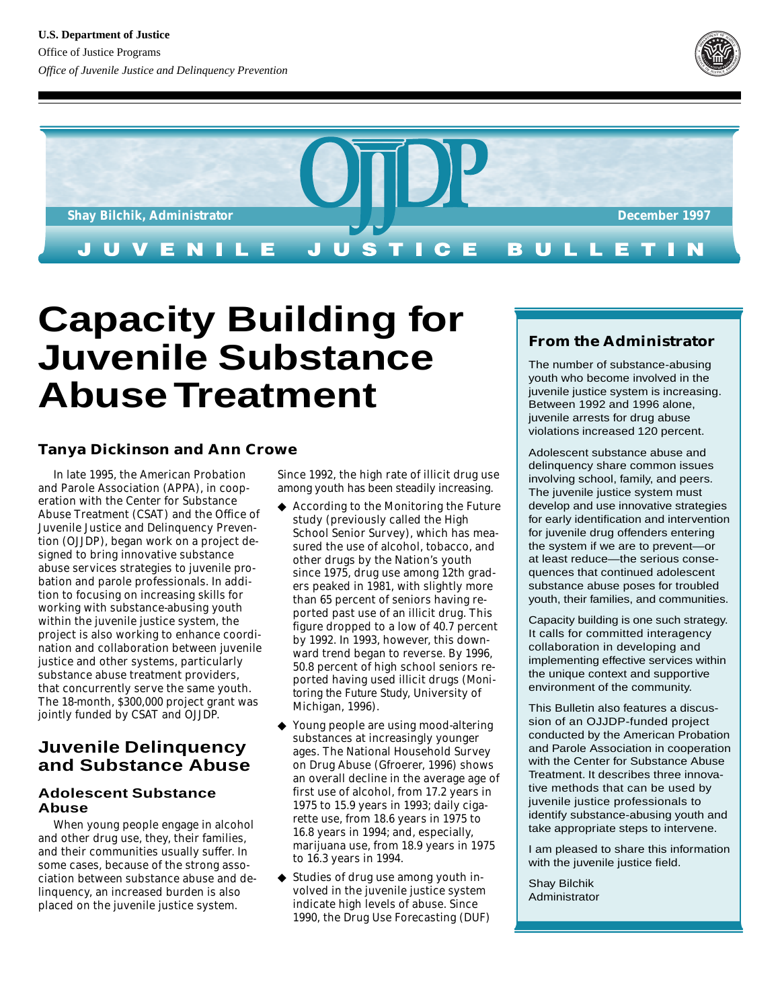



# **Capacity Building for Juvenile Substance Abuse Treatment**

## **Tanya Dickinson and Ann Crowe**

In late 1995, the American Probation and Parole Association (APPA), in cooperation with the Center for Substance Abuse Treatment (CSAT) and the Office of Juvenile Justice and Delinquency Prevention (OJJDP), began work on a project designed to bring innovative substance abuse services strategies to juvenile probation and parole professionals. In addition to focusing on increasing skills for working with substance-abusing youth within the juvenile justice system, the project is also working to enhance coordination and collaboration between juvenile justice and other systems, particularly substance abuse treatment providers, that concurrently serve the same youth. The 18-month, \$300,000 project grant was jointly funded by CSAT and OJJDP.

## **Juvenile Delinquency and Substance Abuse**

## **Adolescent Substance Abuse**

When young people engage in alcohol and other drug use, they, their families, and their communities usually suffer. In some cases, because of the strong association between substance abuse and delinquency, an increased burden is also placed on the juvenile justice system.

Since 1992, the high rate of illicit drug use among youth has been steadily increasing.

- ◆ According to the Monitoring the Future study (previously called the High School Senior Survey), which has measured the use of alcohol, tobacco, and other drugs by the Nation's youth since 1975, drug use among 12th graders peaked in 1981, with slightly more than 65 percent of seniors having reported past use of an illicit drug. This figure dropped to a low of 40.7 percent by 1992. In 1993, however, this downward trend began to reverse. By 1996, 50.8 percent of high school seniors reported having used illicit drugs (*Monitoring the Future Study,* University of Michigan, 1996).
- ◆ Young people are using mood-altering substances at increasingly younger ages. The National Household Survey on Drug Abuse (Gfroerer, 1996) shows an overall decline in the average age of first use of alcohol, from 17.2 years in 1975 to 15.9 years in 1993; daily cigarette use, from 18.6 years in 1975 to 16.8 years in 1994; and, especially, marijuana use, from 18.9 years in 1975 to 16.3 years in 1994.
- ◆ Studies of drug use among youth involved in the juvenile justice system indicate high levels of abuse. Since 1990, the Drug Use Forecasting (DUF)

## **From the Administrator**

The number of substance-abusing youth who become involved in the juvenile justice system is increasing. Between 1992 and 1996 alone, juvenile arrests for drug abuse violations increased 120 percent.

Adolescent substance abuse and delinquency share common issues involving school, family, and peers. The juvenile justice system must develop and use innovative strategies for early identification and intervention for juvenile drug offenders entering the system if we are to prevent—or at least reduce—the serious consequences that continued adolescent substance abuse poses for troubled youth, their families, and communities.

Capacity building is one such strategy. It calls for committed interagency collaboration in developing and implementing effective services within the unique context and supportive environment of the community.

This Bulletin also features a discussion of an OJJDP-funded project conducted by the American Probation and Parole Association in cooperation with the Center for Substance Abuse Treatment. It describes three innovative methods that can be used by juvenile justice professionals to identify substance-abusing youth and take appropriate steps to intervene.

I am pleased to share this information with the juvenile justice field.

Shay Bilchik Administrator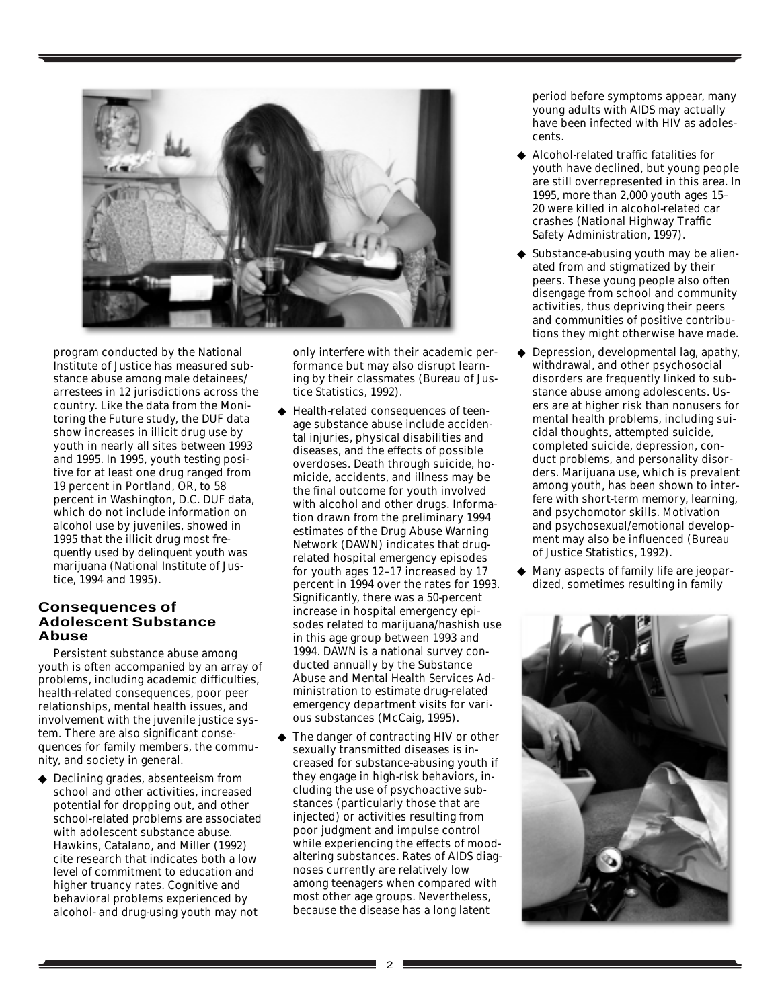

program conducted by the National Institute of Justice has measured substance abuse among male detainees/ arrestees in 12 jurisdictions across the country. Like the data from the Monitoring the Future study, the DUF data show increases in illicit drug use by youth in nearly all sites between 1993 and 1995. In 1995, youth testing positive for at least one drug ranged from 19 percent in Portland, OR, to 58 percent in Washington, D.C. DUF data, which do not include information on alcohol use by juveniles, showed in 1995 that the illicit drug most frequently used by delinquent youth was marijuana (National Institute of Justice, 1994 and 1995).

## **Consequences of Adolescent Substance Abuse**

Persistent substance abuse among youth is often accompanied by an array of problems, including academic difficulties, health-related consequences, poor peer relationships, mental health issues, and involvement with the juvenile justice system. There are also significant consequences for family members, the community, and society in general.

◆ Declining grades, absenteeism from school and other activities, increased potential for dropping out, and other school-related problems are associated with adolescent substance abuse. Hawkins, Catalano, and Miller (1992) cite research that indicates both a low level of commitment to education and higher truancy rates. Cognitive and behavioral problems experienced by alcohol- and drug-using youth may not

only interfere with their academic performance but may also disrupt learning by their classmates (Bureau of Justice Statistics, 1992).

- ◆ Health-related consequences of teenage substance abuse include accidental injuries, physical disabilities and diseases, and the effects of possible overdoses. Death through suicide, homicide, accidents, and illness may be the final outcome for youth involved with alcohol and other drugs. Information drawn from the preliminary 1994 estimates of the Drug Abuse Warning Network (DAWN) indicates that drugrelated hospital emergency episodes for youth ages 12–17 increased by 17 percent in 1994 over the rates for 1993. Significantly, there was a 50-percent increase in hospital emergency episodes related to marijuana/hashish use in this age group between 1993 and 1994. DAWN is a national survey conducted annually by the Substance Abuse and Mental Health Services Administration to estimate drug-related emergency department visits for various substances (McCaig, 1995).
- The danger of contracting HIV or other sexually transmitted diseases is increased for substance-abusing youth if they engage in high-risk behaviors, including the use of psychoactive substances (particularly those that are injected) or activities resulting from poor judgment and impulse control while experiencing the effects of moodaltering substances. Rates of AIDS diagnoses currently are relatively low among teenagers when compared with most other age groups. Nevertheless, because the disease has a long latent

period before symptoms appear, many young adults with AIDS may actually have been infected with HIV as adolescents.

- ◆ Alcohol-related traffic fatalities for youth have declined, but young people are still overrepresented in this area. In 1995, more than 2,000 youth ages 15– 20 were killed in alcohol-related car crashes (National Highway Traffic Safety Administration, 1997).
- ◆ Substance-abusing youth may be alienated from and stigmatized by their peers. These young people also often disengage from school and community activities, thus depriving their peers and communities of positive contributions they might otherwise have made.
- Depression, developmental lag, apathy, withdrawal, and other psychosocial disorders are frequently linked to substance abuse among adolescents. Users are at higher risk than nonusers for mental health problems, including suicidal thoughts, attempted suicide, completed suicide, depression, conduct problems, and personality disorders. Marijuana use, which is prevalent among youth, has been shown to interfere with short-term memory, learning, and psychomotor skills. Motivation and psychosexual/emotional development may also be influenced (Bureau of Justice Statistics, 1992).
- ◆ Many aspects of family life are jeopardized, sometimes resulting in family

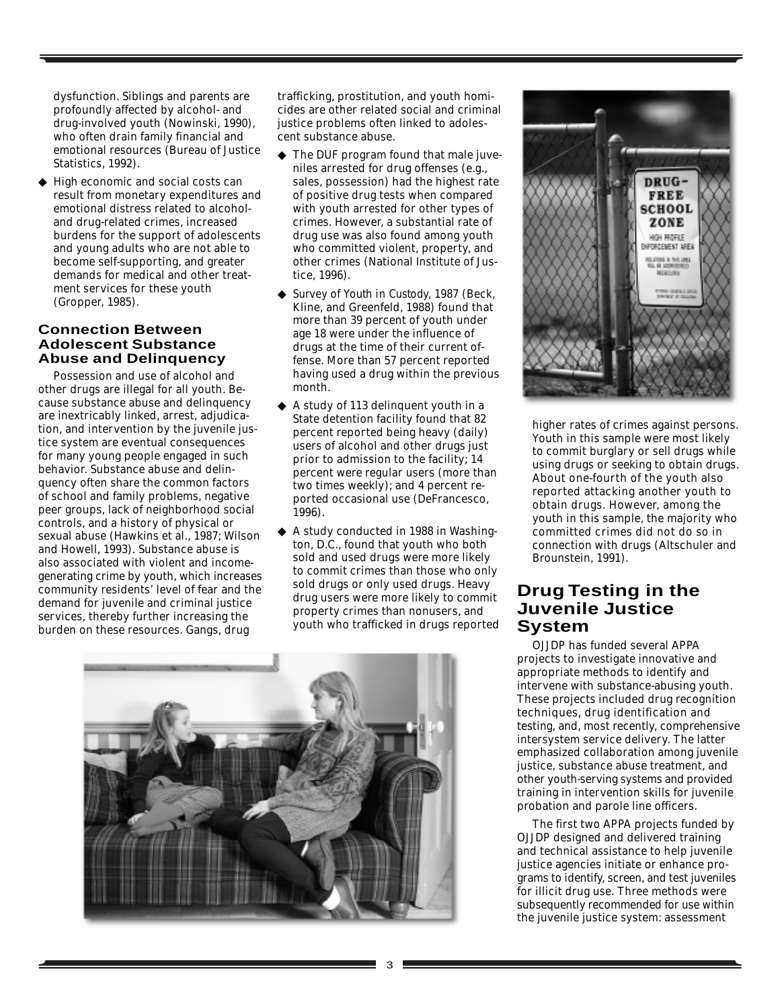dysfunction. Siblings and parents are profoundly affected by alcohol- and drug-involved youth (Nowinski, 1990), who often drain family financial and emotional resources (Bureau of Justice Statistics, 1992).

◆ High economic and social costs can result from monetary expenditures and emotional distress related to alcoholand drug-related crimes, increased burdens for the support of adolescents and young adults who are not able to become self-supporting, and greater demands for medical and other treatment services for these youth (Gropper, 1985).

## **Connection Between Adolescent Substance Abuse and Delinquency**

Possession and use of alcohol and other drugs are illegal for all youth. Because substance abuse and delinquency are inextricably linked, arrest, adjudication, and intervention by the juvenile justice system are eventual consequences for many young people engaged in such behavior. Substance abuse and delinquency often share the common factors of school and family problems, negative peer groups, lack of neighborhood social controls, and a history of physical or sexual abuse (Hawkins et al., 1987; Wilson and Howell, 1993). Substance abuse is also associated with violent and incomegenerating crime by youth, which increases community residents' level of fear and the demand for juvenile and criminal justice services, thereby further increasing the burden on these resources. Gangs, drug

trafficking, prostitution, and youth homicides are other related social and criminal justice problems often linked to adolescent substance abuse.

- ◆ The DUF program found that male juveniles arrested for drug offenses (e.g., sales, possession) had the highest rate of positive drug tests when compared with youth arrested for other types of crimes. However, a substantial rate of drug use was also found among youth who committed violent, property, and other crimes (National Institute of Justice, 1996).
- ◆ *Survey of Youth in Custody, 1987* (Beck, Kline, and Greenfeld, 1988) found that more than 39 percent of youth under age 18 were under the influence of drugs at the time of their current offense. More than 57 percent reported having used a drug within the previous month.
- A study of 113 delinquent youth in a State detention facility found that 82 percent reported being heavy (daily) users of alcohol and other drugs just prior to admission to the facility; 14 percent were regular users (more than two times weekly); and 4 percent reported occasional use (DeFrancesco, 1996).
- ◆ A study conducted in 1988 in Washington, D.C., found that youth who both sold and used drugs were more likely to commit crimes than those who only sold drugs or only used drugs. Heavy drug users were more likely to commit property crimes than nonusers, and youth who trafficked in drugs reported





higher rates of crimes against persons. Youth in this sample were most likely to commit burglary or sell drugs while using drugs or seeking to obtain drugs. About one-fourth of the youth also reported attacking another youth to obtain drugs. However, among the youth in this sample, the majority who committed crimes did not do so in connection with drugs (Altschuler and Brounstein, 1991).

# **Drug Testing in the Juvenile Justice System**

OJJDP has funded several APPA projects to investigate innovative and appropriate methods to identify and intervene with substance-abusing youth. These projects included drug recognition techniques, drug identification and testing, and, most recently, comprehensive intersystem service delivery. The latter emphasized collaboration among juvenile justice, substance abuse treatment, and other youth-serving systems and provided training in intervention skills for juvenile probation and parole line officers.

The first two APPA projects funded by OJJDP designed and delivered training and technical assistance to help juvenile justice agencies initiate or enhance programs to identify, screen, and test juveniles for illicit drug use. Three methods were subsequently recommended for use within the juvenile justice system: assessment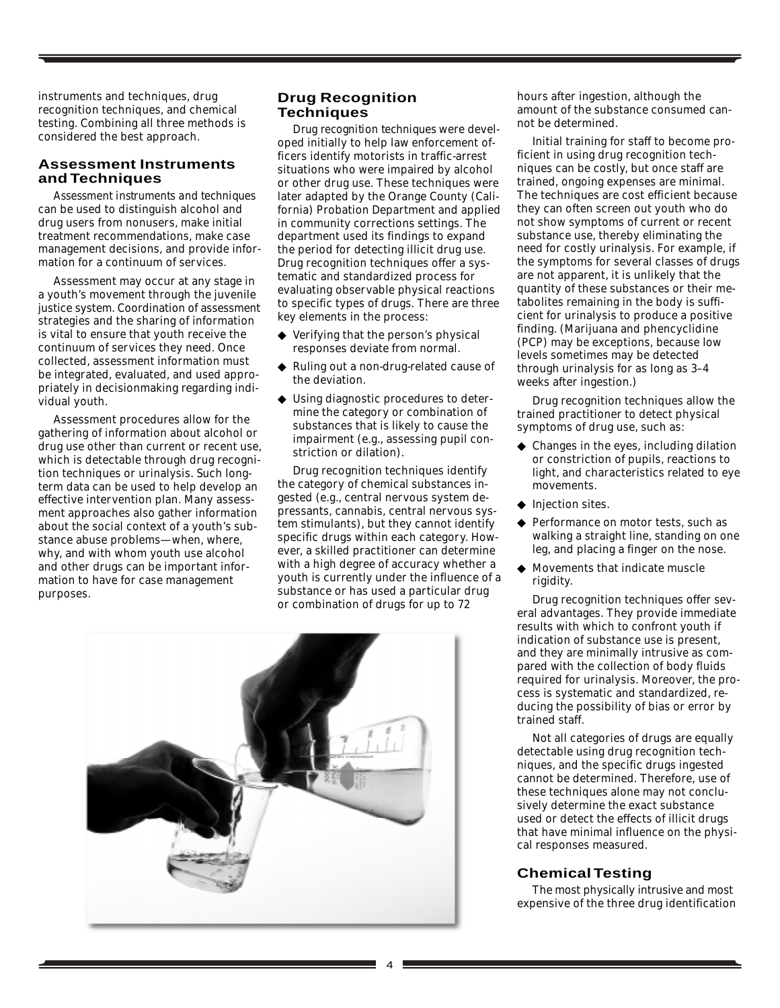instruments and techniques, drug recognition techniques, and chemical testing. Combining all three methods is considered the best approach.

#### **Assessment Instruments and Techniques**

*Assessment instruments and techniques* can be used to distinguish alcohol and drug users from nonusers, make initial treatment recommendations, make case management decisions, and provide information for a continuum of services.

Assessment may occur at any stage in a youth's movement through the juvenile justice system. Coordination of assessment strategies and the sharing of information is vital to ensure that youth receive the continuum of services they need. Once collected, assessment information must be integrated, evaluated, and used appropriately in decisionmaking regarding individual youth.

Assessment procedures allow for the gathering of information about alcohol or drug use other than current or recent use, which is detectable through drug recognition techniques or urinalysis. Such longterm data can be used to help develop an effective intervention plan. Many assessment approaches also gather information about the social context of a youth's substance abuse problems—when, where, why, and with whom youth use alcohol and other drugs can be important information to have for case management purposes.

#### **Drug Recognition Techniques**

*Drug recognition techniques* were developed initially to help law enforcement officers identify motorists in traffic-arrest situations who were impaired by alcohol or other drug use. These techniques were later adapted by the Orange County (California) Probation Department and applied in community corrections settings. The department used its findings to expand the period for detecting illicit drug use. Drug recognition techniques offer a systematic and standardized process for evaluating observable physical reactions to specific types of drugs. There are three key elements in the process:

- ◆ Verifying that the person's physical responses deviate from normal.
- ◆ Ruling out a non-drug-related cause of the deviation.
- Using diagnostic procedures to determine the category or combination of substances that is likely to cause the impairment (e.g., assessing pupil constriction or dilation).

Drug recognition techniques identify the category of chemical substances ingested (e.g., central nervous system depressants, cannabis, central nervous system stimulants), but they cannot identify specific drugs within each category. However, a skilled practitioner can determine with a high degree of accuracy whether a youth is currently under the influence of a substance or has used a particular drug or combination of drugs for up to 72



hours after ingestion, although the amount of the substance consumed cannot be determined.

Initial training for staff to become proficient in using drug recognition techniques can be costly, but once staff are trained, ongoing expenses are minimal. The techniques are cost efficient because they can often screen out youth who do not show symptoms of current or recent substance use, thereby eliminating the need for costly urinalysis. For example, if the symptoms for several classes of drugs are not apparent, it is unlikely that the quantity of these substances or their metabolites remaining in the body is sufficient for urinalysis to produce a positive finding. (Marijuana and phencyclidine (PCP) may be exceptions, because low levels sometimes may be detected through urinalysis for as long as 3–4 weeks after ingestion.)

Drug recognition techniques allow the trained practitioner to detect physical symptoms of drug use, such as:

- ◆ Changes in the eyes, including dilation or constriction of pupils, reactions to light, and characteristics related to eye movements.
- ◆ Injection sites.
- ◆ Performance on motor tests, such as walking a straight line, standing on one leg, and placing a finger on the nose.
- ◆ Movements that indicate muscle rigidity.

Drug recognition techniques offer several advantages. They provide immediate results with which to confront youth if indication of substance use is present, and they are minimally intrusive as compared with the collection of body fluids required for urinalysis. Moreover, the process is systematic and standardized, reducing the possibility of bias or error by trained staff.

Not all categories of drugs are equally detectable using drug recognition techniques, and the specific drugs ingested cannot be determined. Therefore, use of these techniques alone may not conclusively determine the exact substance used or detect the effects of illicit drugs that have minimal influence on the physical responses measured.

## **Chemical Testing**

The most physically intrusive and most expensive of the three drug identification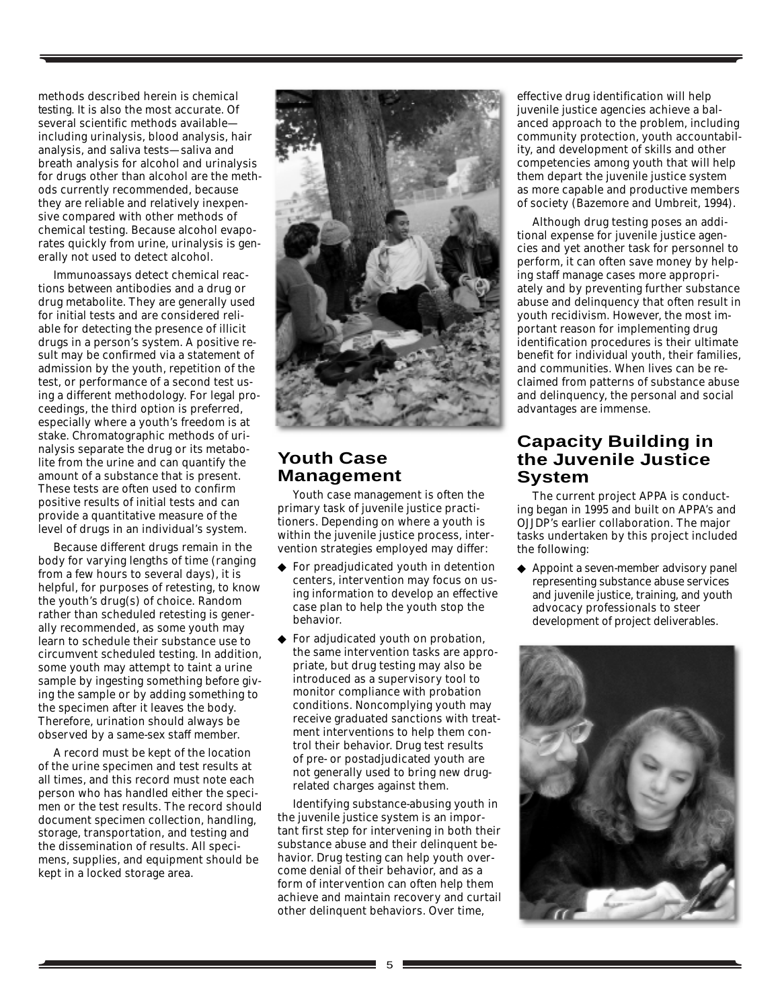methods described herein is *chemical testing*. It is also the most accurate. Of several scientific methods available including urinalysis, blood analysis, hair analysis, and saliva tests—saliva and breath analysis for alcohol and urinalysis for drugs other than alcohol are the methods currently recommended, because they are reliable and relatively inexpensive compared with other methods of chemical testing. Because alcohol evaporates quickly from urine, urinalysis is generally not used to detect alcohol.

Immunoassays detect chemical reactions between antibodies and a drug or drug metabolite. They are generally used for initial tests and are considered reliable for detecting the presence of illicit drugs in a person's system. A positive result may be confirmed via a statement of admission by the youth, repetition of the test, or performance of a second test using a different methodology. For legal proceedings, the third option is preferred, especially where a youth's freedom is at stake. Chromatographic methods of urinalysis separate the drug or its metabolite from the urine and can quantify the amount of a substance that is present. These tests are often used to confirm positive results of initial tests and can provide a quantitative measure of the level of drugs in an individual's system.

Because different drugs remain in the body for varying lengths of time (ranging from a few hours to several days), it is helpful, for purposes of retesting, to know the youth's drug(s) of choice. Random rather than scheduled retesting is generally recommended, as some youth may learn to schedule their substance use to circumvent scheduled testing. In addition, some youth may attempt to taint a urine sample by ingesting something before giving the sample or by adding something to the specimen after it leaves the body. Therefore, urination should always be observed by a same-sex staff member.

A record must be kept of the location of the urine specimen and test results at all times, and this record must note each person who has handled either the specimen or the test results. The record should document specimen collection, handling, storage, transportation, and testing and the dissemination of results. All specimens, supplies, and equipment should be kept in a locked storage area.



# **Youth Case Management**

Youth case management is often the primary task of juvenile justice practitioners. Depending on where a youth is within the juvenile justice process, intervention strategies employed may differ:

- ◆ For preadjudicated youth in detention centers, intervention may focus on using information to develop an effective case plan to help the youth stop the behavior.
- ◆ For adjudicated youth on probation, the same intervention tasks are appropriate, but drug testing may also be introduced as a supervisory tool to monitor compliance with probation conditions. Noncomplying youth may receive graduated sanctions with treatment interventions to help them control their behavior. Drug test results of pre- or postadjudicated youth are not generally used to bring new drugrelated charges against them.

Identifying substance-abusing youth in the juvenile justice system is an important first step for intervening in both their substance abuse and their delinquent behavior. Drug testing can help youth overcome denial of their behavior, and as a form of intervention can often help them achieve and maintain recovery and curtail other delinquent behaviors. Over time,

effective drug identification will help juvenile justice agencies achieve a balanced approach to the problem, including community protection, youth accountability, and development of skills and other competencies among youth that will help them depart the juvenile justice system as more capable and productive members of society (Bazemore and Umbreit, 1994).

Although drug testing poses an additional expense for juvenile justice agencies and yet another task for personnel to perform, it can often save money by helping staff manage cases more appropriately and by preventing further substance abuse and delinquency that often result in youth recidivism. However, the most important reason for implementing drug identification procedures is their ultimate benefit for individual youth, their families, and communities. When lives can be reclaimed from patterns of substance abuse and delinquency, the personal and social advantages are immense.

# **Capacity Building in the Juvenile Justice System**

The current project APPA is conducting began in 1995 and built on APPA's and OJJDP's earlier collaboration. The major tasks undertaken by this project included the following:

◆ Appoint a seven-member advisory panel representing substance abuse services and juvenile justice, training, and youth advocacy professionals to steer development of project deliverables.

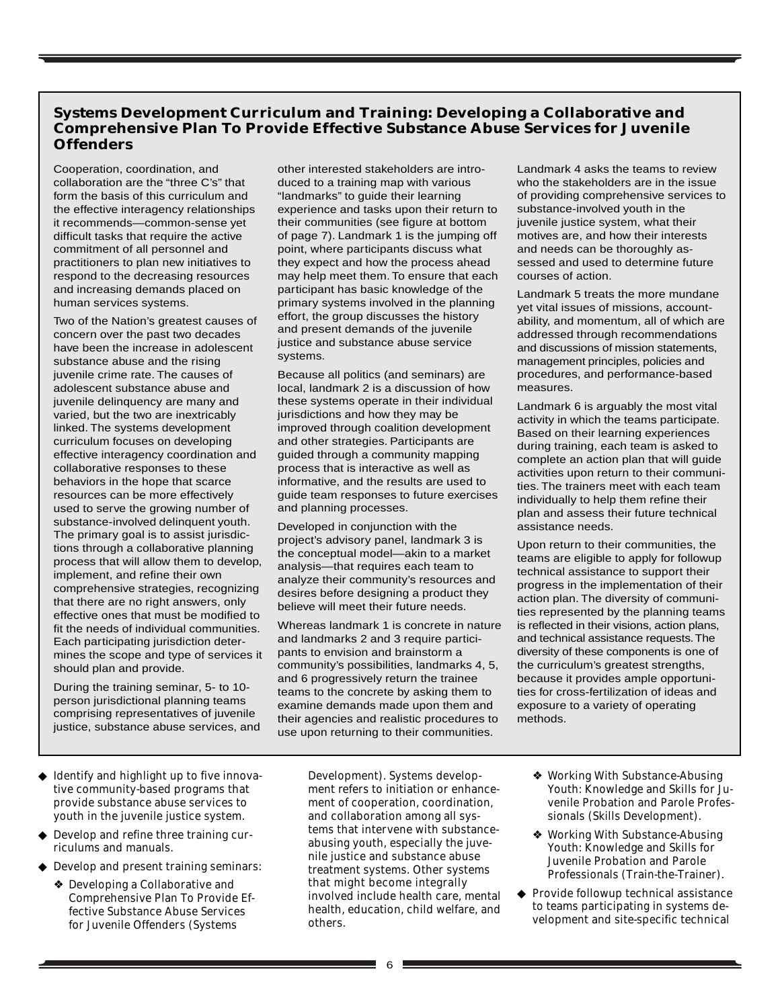## **Systems Development Curriculum and Training: Developing a Collaborative and Comprehensive Plan To Provide Effective Substance Abuse Services for Juvenile Offenders**

Cooperation, coordination, and collaboration are the "three C's" that form the basis of this curriculum and the effective interagency relationships it recommends—common-sense yet difficult tasks that require the active commitment of all personnel and practitioners to plan new initiatives to respond to the decreasing resources and increasing demands placed on human services systems.

Two of the Nation's greatest causes of concern over the past two decades have been the increase in adolescent substance abuse and the rising juvenile crime rate. The causes of adolescent substance abuse and juvenile delinquency are many and varied, but the two are inextricably linked. The systems development curriculum focuses on developing effective interagency coordination and collaborative responses to these behaviors in the hope that scarce resources can be more effectively used to serve the growing number of substance-involved delinquent youth. The primary goal is to assist jurisdictions through a collaborative planning process that will allow them to develop, implement, and refine their own comprehensive strategies, recognizing that there are no right answers, only effective ones that must be modified to fit the needs of individual communities. Each participating jurisdiction determines the scope and type of services it should plan and provide.

During the training seminar, 5- to 10 person jurisdictional planning teams comprising representatives of juvenile justice, substance abuse services, and other interested stakeholders are introduced to a training map with various "landmarks" to guide their learning experience and tasks upon their return to their communities (see figure at bottom of page 7). Landmark 1 is the jumping off point, where participants discuss what they expect and how the process ahead may help meet them. To ensure that each participant has basic knowledge of the primary systems involved in the planning effort, the group discusses the history and present demands of the juvenile justice and substance abuse service systems.

Because all politics (and seminars) are local, landmark 2 is a discussion of how these systems operate in their individual jurisdictions and how they may be improved through coalition development and other strategies. Participants are guided through a community mapping process that is interactive as well as informative, and the results are used to guide team responses to future exercises and planning processes.

Developed in conjunction with the project's advisory panel, landmark 3 is the conceptual model—akin to a market analysis—that requires each team to analyze their community's resources and desires before designing a product they believe will meet their future needs.

Whereas landmark 1 is concrete in nature and landmarks 2 and 3 require participants to envision and brainstorm a community's possibilities, landmarks 4, 5, and 6 progressively return the trainee teams to the concrete by asking them to examine demands made upon them and their agencies and realistic procedures to use upon returning to their communities.

Development). Systems development refers to initiation or enhancement of cooperation, coordination, and collaboration among all systems that intervene with substanceabusing youth, especially the juvenile justice and substance abuse treatment systems. Other systems that might become integrally involved include health care, mental health, education, child welfare, and others.

Landmark 4 asks the teams to review who the stakeholders are in the issue of providing comprehensive services to substance-involved youth in the juvenile justice system, what their motives are, and how their interests and needs can be thoroughly assessed and used to determine future courses of action.

Landmark 5 treats the more mundane yet vital issues of missions, accountability, and momentum, all of which are addressed through recommendations and discussions of mission statements, management principles, policies and procedures, and performance-based measures.

Landmark 6 is arguably the most vital activity in which the teams participate. Based on their learning experiences during training, each team is asked to complete an action plan that will guide activities upon return to their communities. The trainers meet with each team individually to help them refine their plan and assess their future technical assistance needs.

Upon return to their communities, the teams are eligible to apply for followup technical assistance to support their progress in the implementation of their action plan. The diversity of communities represented by the planning teams is reflected in their visions, action plans, and technical assistance requests. The diversity of these components is one of the curriculum's greatest strengths, because it provides ample opportunities for cross-fertilization of ideas and exposure to a variety of operating methods.

- ❖ Working With Substance-Abusing Youth: Knowledge and Skills for Juvenile Probation and Parole Professionals (Skills Development).
- ❖ Working With Substance-Abusing Youth: Knowledge and Skills for Juvenile Probation and Parole Professionals (Train-the-Trainer).
- ◆ Provide followup technical assistance to teams participating in systems development and site-specific technical
- ◆ Identify and highlight up to five innovative community-based programs that provide substance abuse services to youth in the juvenile justice system.
- ◆ Develop and refine three training curriculums and manuals.
- ◆ Develop and present training seminars:
	- ❖ Developing a Collaborative and Comprehensive Plan To Provide Effective Substance Abuse Services for Juvenile Offenders (Systems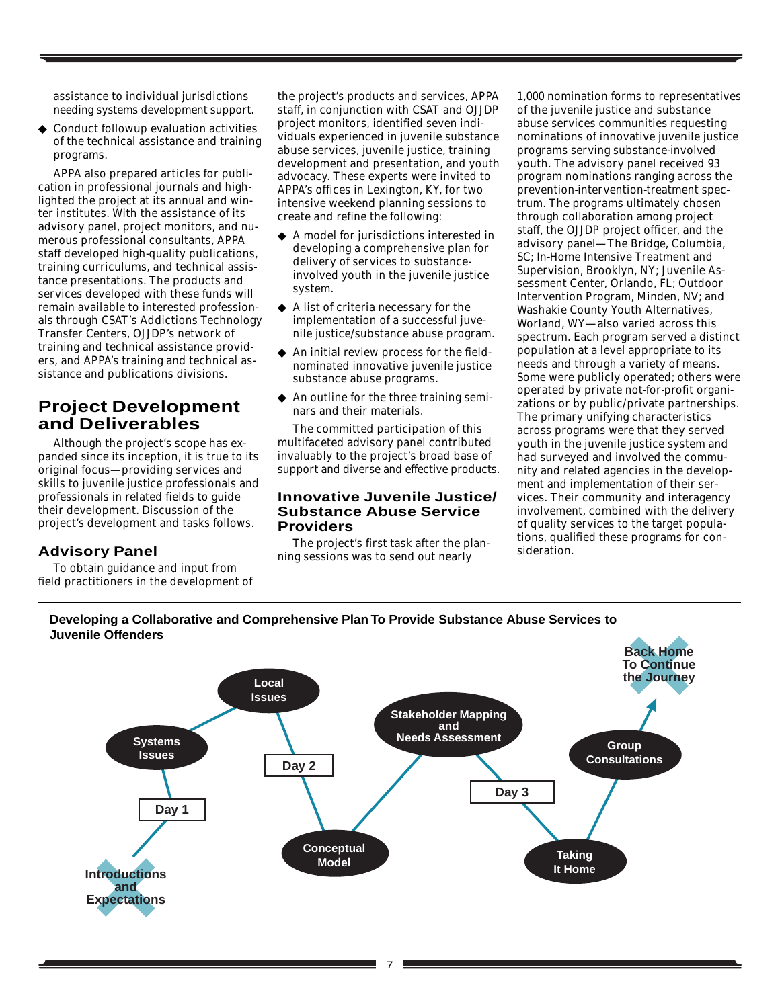assistance to individual jurisdictions needing systems development support.

◆ Conduct followup evaluation activities of the technical assistance and training programs.

APPA also prepared articles for publication in professional journals and highlighted the project at its annual and winter institutes. With the assistance of its advisory panel, project monitors, and numerous professional consultants, APPA staff developed high-quality publications, training curriculums, and technical assistance presentations. The products and services developed with these funds will remain available to interested professionals through CSAT's Addictions Technology Transfer Centers, OJJDP's network of training and technical assistance providers, and APPA's training and technical assistance and publications divisions.

# **Project Development and Deliverables**

Although the project's scope has expanded since its inception, it is true to its original focus—providing services and skills to juvenile justice professionals and professionals in related fields to guide their development. Discussion of the project's development and tasks follows.

#### **Advisory Panel**

To obtain guidance and input from field practitioners in the development of

the project's products and services, APPA staff, in conjunction with CSAT and OJJDP project monitors, identified seven individuals experienced in juvenile substance abuse services, juvenile justice, training development and presentation, and youth advocacy. These experts were invited to APPA's offices in Lexington, KY, for two intensive weekend planning sessions to create and refine the following:

- ◆ A model for jurisdictions interested in developing a comprehensive plan for delivery of services to substanceinvolved youth in the juvenile justice system.
- ◆ A list of criteria necessary for the implementation of a successful juvenile justice/substance abuse program.
- ◆ An initial review process for the fieldnominated innovative juvenile justice substance abuse programs.
- ◆ An outline for the three training seminars and their materials.

The committed participation of this multifaceted advisory panel contributed invaluably to the project's broad base of support and diverse and effective products.

#### **Innovative Juvenile Justice/ Substance Abuse Service Providers**

The project's first task after the planning sessions was to send out nearly

1,000 nomination forms to representatives of the juvenile justice and substance abuse services communities requesting nominations of innovative juvenile justice programs serving substance-involved youth. The advisory panel received 93 program nominations ranging across the prevention-intervention-treatment spectrum. The programs ultimately chosen through collaboration among project staff, the OJJDP project officer, and the advisory panel—The Bridge, Columbia, SC; In-Home Intensive Treatment and Supervision, Brooklyn, NY; Juvenile Assessment Center, Orlando, FL; Outdoor Intervention Program, Minden, NV; and Washakie County Youth Alternatives, Worland, WY—also varied across this spectrum. Each program served a distinct population at a level appropriate to its needs and through a variety of means. Some were publicly operated; others were operated by private not-for-profit organizations or by public/private partnerships. The primary unifying characteristics across programs were that they served youth in the juvenile justice system and had surveyed and involved the community and related agencies in the development and implementation of their services. Their community and interagency involvement, combined with the delivery of quality services to the target populations, qualified these programs for consideration.

## **Developing a Collaborative and Comprehensive Plan To Provide Substance Abuse Services to Juvenile Offenders**

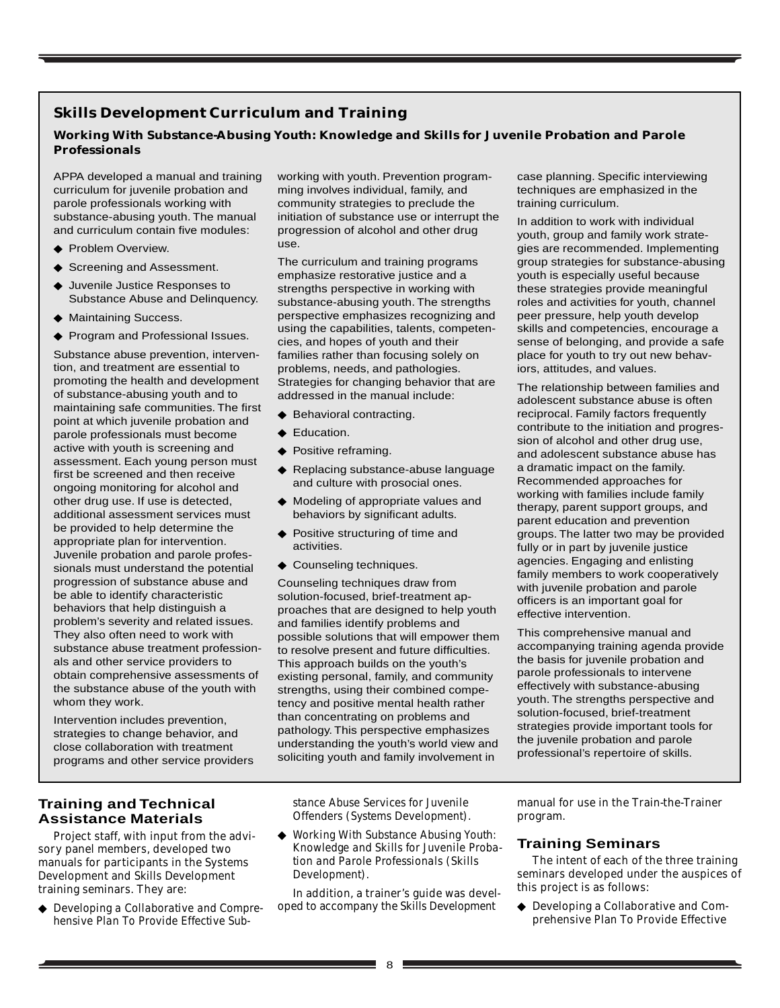## **Skills Development Curriculum and Training**

## **Working With Substance-Abusing Youth: Knowledge and Skills for Juvenile Probation and Parole Professionals**

APPA developed a manual and training curriculum for juvenile probation and parole professionals working with substance-abusing youth. The manual and curriculum contain five modules:

- ◆ Problem Overview.
- ◆ Screening and Assessment.
- ◆ Juvenile Justice Responses to Substance Abuse and Delinquency.
- ◆ Maintaining Success.
- ◆ Program and Professional Issues.

Substance abuse prevention, intervention, and treatment are essential to promoting the health and development of substance-abusing youth and to maintaining safe communities. The first point at which juvenile probation and parole professionals must become active with youth is screening and assessment. Each young person must first be screened and then receive ongoing monitoring for alcohol and other drug use. If use is detected, additional assessment services must be provided to help determine the appropriate plan for intervention. Juvenile probation and parole professionals must understand the potential progression of substance abuse and be able to identify characteristic behaviors that help distinguish a problem's severity and related issues. They also often need to work with substance abuse treatment professionals and other service providers to obtain comprehensive assessments of the substance abuse of the youth with whom they work.

Intervention includes prevention, strategies to change behavior, and close collaboration with treatment programs and other service providers working with youth. Prevention programming involves individual, family, and community strategies to preclude the initiation of substance use or interrupt the progression of alcohol and other drug use.

The curriculum and training programs emphasize restorative justice and a strengths perspective in working with substance-abusing youth. The strengths perspective emphasizes recognizing and using the capabilities, talents, competencies, and hopes of youth and their families rather than focusing solely on problems, needs, and pathologies. Strategies for changing behavior that are addressed in the manual include:

- ◆ Behavioral contracting.
- ◆ Education.
- ◆ Positive reframing.
- ◆ Replacing substance-abuse language and culture with prosocial ones.
- ◆ Modeling of appropriate values and behaviors by significant adults.
- ◆ Positive structuring of time and activities.
- ◆ Counseling techniques.

Counseling techniques draw from solution-focused, brief-treatment approaches that are designed to help youth and families identify problems and possible solutions that will empower them to resolve present and future difficulties. This approach builds on the youth's existing personal, family, and community strengths, using their combined competency and positive mental health rather than concentrating on problems and pathology. This perspective emphasizes understanding the youth's world view and soliciting youth and family involvement in

case planning. Specific interviewing techniques are emphasized in the training curriculum.

In addition to work with individual youth, group and family work strategies are recommended. Implementing group strategies for substance-abusing youth is especially useful because these strategies provide meaningful roles and activities for youth, channel peer pressure, help youth develop skills and competencies, encourage a sense of belonging, and provide a safe place for youth to try out new behaviors, attitudes, and values.

The relationship between families and adolescent substance abuse is often reciprocal. Family factors frequently contribute to the initiation and progression of alcohol and other drug use, and adolescent substance abuse has a dramatic impact on the family. Recommended approaches for working with families include family therapy, parent support groups, and parent education and prevention groups. The latter two may be provided fully or in part by juvenile justice agencies. Engaging and enlisting family members to work cooperatively with juvenile probation and parole officers is an important goal for effective intervention.

This comprehensive manual and accompanying training agenda provide the basis for juvenile probation and parole professionals to intervene effectively with substance-abusing youth. The strengths perspective and solution-focused, brief-treatment strategies provide important tools for the juvenile probation and parole professional's repertoire of skills.

## **Training and Technical Assistance Materials**

Project staff, with input from the advisory panel members, developed two manuals for participants in the Systems Development and Skills Development training seminars. They are:

◆ *Developing a Collaborative and Comprehensive Plan To Provide Effective Sub-* *stance Abuse Services for Juvenile Offenders (Systems Development).*

◆ *Working With Substance Abusing Youth: Knowledge and Skills for Juvenile Probation and Parole Professionals (Skills Development).*

In addition, a trainer's guide was developed to accompany the *Skills Development*

manual for use in the Train-the-Trainer program.

#### **Training Seminars**

The intent of each of the three training seminars developed under the auspices of this project is as follows:

◆ Developing a Collaborative and Comprehensive Plan To Provide Effective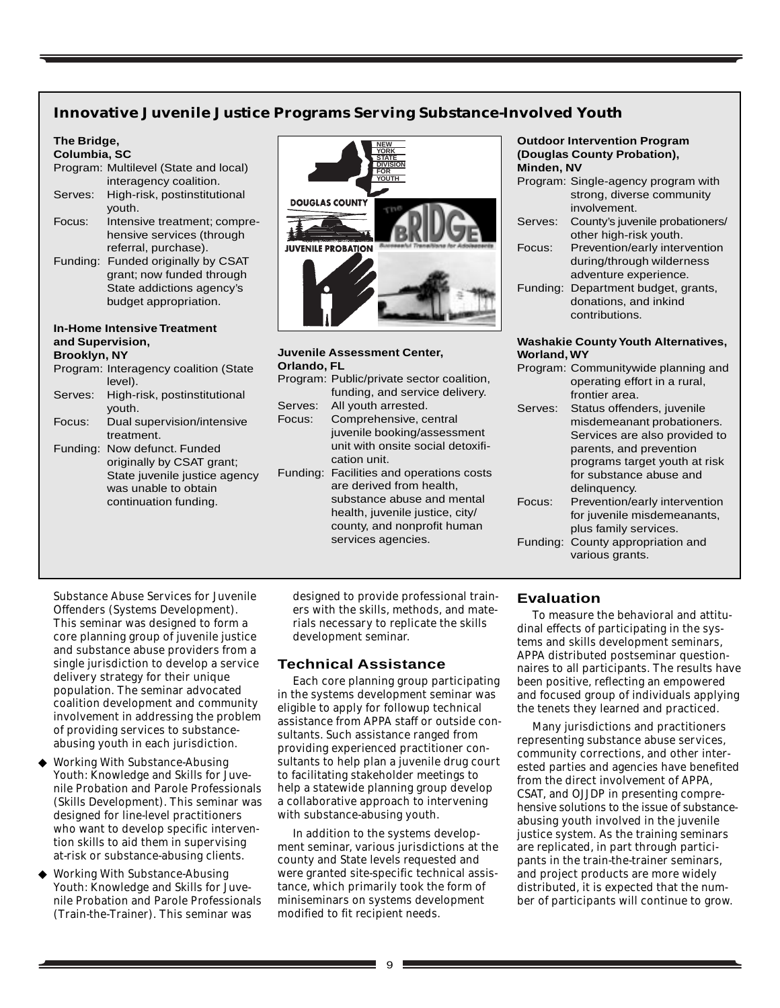## **Innovative Juvenile Justice Programs Serving Substance-Involved Youth**

## **The Bridge,**

#### **Columbia, SC**

|          | Program: Multilevel (State and local) |
|----------|---------------------------------------|
|          | interagency coalition.                |
| Serves:  | High-risk, postinstitutional          |
|          | youth.                                |
| Focus:   | Intensive treatment; compre-          |
|          | hensive services (through             |
|          | referral, purchase).                  |
| Funding: | Funded originally by CSAT             |
|          | grant; now funded through             |
|          | State addictions agency's             |
|          | budget appropriation.                 |

#### **In-Home Intensive Treatment and Supervision, Brooklyn, NY**

- Program: Interagency coalition (State level). Serves: High-risk, postinstitutional youth.
- Focus: Dual supervision/intensive treatment.
- Funding: Now defunct. Funded originally by CSAT grant; State juvenile justice agency was unable to obtain continuation funding.



#### **Juvenile Assessment Center, Orlando, FL**

| Oriando, FL |                                           |
|-------------|-------------------------------------------|
|             | Program: Public/private sector coalition, |
|             | funding, and service delivery.            |
| Serves:     | All youth arrested.                       |
| Focus:      | Comprehensive, central                    |
|             | juvenile booking/assessment               |
|             | unit with onsite social detoxifi-         |
|             | cation unit.                              |
| Funding:    | Facilities and operations costs           |
|             | are derived from health,                  |
|             | substance abuse and mental                |
|             | health, juvenile justice, city/           |
|             | county, and nonprofit human               |
|             | services agencies.                        |

#### **Outdoor Intervention Program (Douglas County Probation), Minden, NV**

|         | Program: Single-agency program with |
|---------|-------------------------------------|
|         | strong, diverse community           |
|         | involvement.                        |
| Serves: | County's juvenile probationers/     |
|         | other high-risk youth.              |
| Focus:  | Prevention/early intervention       |
|         | during/through wilderness           |
|         | adventure experience.               |
|         | Funding: Department budget, grants, |
|         | donations, and inkind               |
|         | contributions.                      |
|         |                                     |

#### **Washakie County Youth Alternatives, Worland, WY**

|         | Program: Communitywide planning and |
|---------|-------------------------------------|
|         | operating effort in a rural,        |
|         | frontier area.                      |
| Serves: | Status offenders, juvenile          |
|         | misdemeanant probationers.          |
|         | Services are also provided to       |
|         | parents, and prevention             |
|         | programs target youth at risk       |
|         | for substance abuse and             |
|         | delinguency.                        |
| Focus:  | Prevention/early intervention       |
|         | for juvenile misdemeanants,         |
|         | plus family services.               |
|         | Funding: County appropriation and   |
|         | various grants.                     |

Substance Abuse Services for Juvenile Offenders (Systems Development). This seminar was designed to form a core planning group of juvenile justice and substance abuse providers from a single jurisdiction to develop a service delivery strategy for their unique population. The seminar advocated coalition development and community involvement in addressing the problem of providing services to substanceabusing youth in each jurisdiction.

- Working With Substance-Abusing Youth: Knowledge and Skills for Juvenile Probation and Parole Professionals (Skills Development). This seminar was designed for line-level practitioners who want to develop specific intervention skills to aid them in supervising at-risk or substance-abusing clients.
- Working With Substance-Abusing Youth: Knowledge and Skills for Juvenile Probation and Parole Professionals (Train-the-Trainer). This seminar was

designed to provide professional trainers with the skills, methods, and materials necessary to replicate the skills development seminar.

## **Technical Assistance**

Each core planning group participating in the systems development seminar was eligible to apply for followup technical assistance from APPA staff or outside consultants. Such assistance ranged from providing experienced practitioner consultants to help plan a juvenile drug court to facilitating stakeholder meetings to help a statewide planning group develop a collaborative approach to intervening with substance-abusing youth.

In addition to the systems development seminar, various jurisdictions at the county and State levels requested and were granted site-specific technical assistance, which primarily took the form of miniseminars on systems development modified to fit recipient needs.

## **Evaluation**

To measure the behavioral and attitudinal effects of participating in the systems and skills development seminars, APPA distributed postseminar questionnaires to all participants. The results have been positive, reflecting an empowered and focused group of individuals applying the tenets they learned and practiced.

Many jurisdictions and practitioners representing substance abuse services, community corrections, and other interested parties and agencies have benefited from the direct involvement of APPA, CSAT, and OJJDP in presenting comprehensive solutions to the issue of substanceabusing youth involved in the juvenile justice system. As the training seminars are replicated, in part through participants in the train-the-trainer seminars, and project products are more widely distributed, it is expected that the number of participants will continue to grow.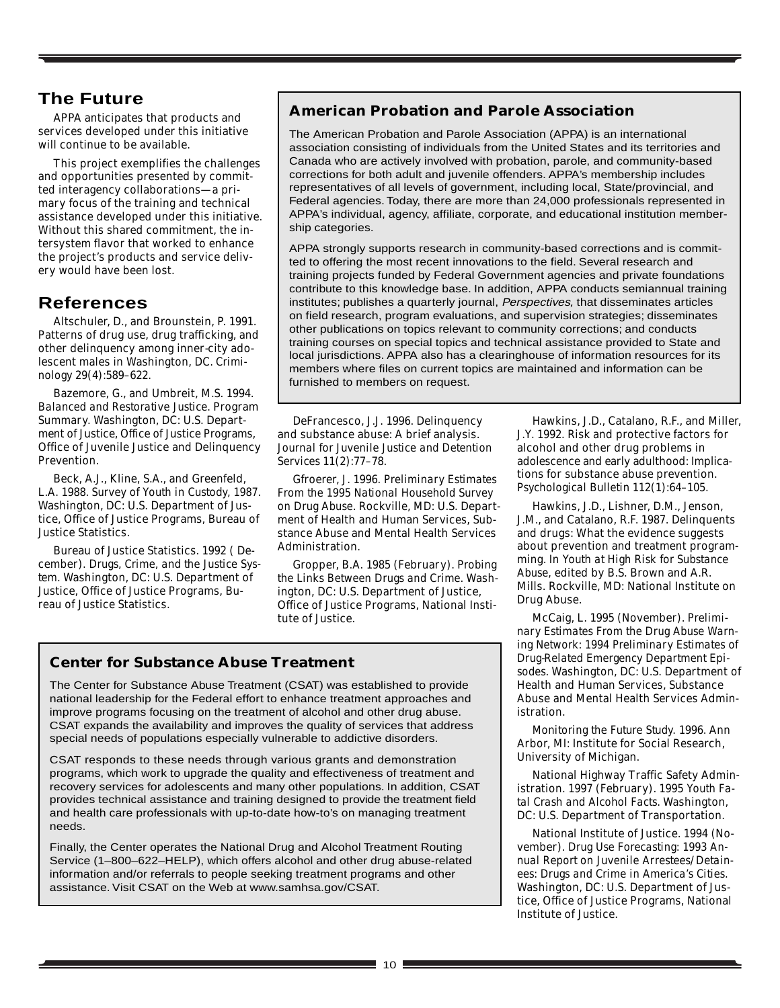# **The Future**

APPA anticipates that products and services developed under this initiative will continue to be available.

This project exemplifies the challenges and opportunities presented by committed interagency collaborations—a primary focus of the training and technical assistance developed under this initiative. Without this shared commitment, the intersystem flavor that worked to enhance the project's products and service delivery would have been lost.

# **References**

Altschuler, D., and Brounstein, P. 1991. Patterns of drug use, drug trafficking, and other delinquency among inner-city adolescent males in Washington, DC. *Criminology* 29(4):589–622.

Bazemore, G., and Umbreit, M.S. 1994. *Balanced and Restorative Justice.* Program Summary. Washington, DC: U.S. Department of Justice, Office of Justice Programs, Office of Juvenile Justice and Delinquency Prevention.

Beck, A.J., Kline, S.A., and Greenfeld, L.A. 1988. *Survey of Youth in Custody, 1987*. Washington, DC: U.S. Department of Justice, Office of Justice Programs, Bureau of Justice Statistics.

Bureau of Justice Statistics. 1992 ( December). *Drugs, Crime, and the Justice System*. Washington, DC: U.S. Department of Justice, Office of Justice Programs, Bureau of Justice Statistics.

# **American Probation and Parole Association**

The American Probation and Parole Association (APPA) is an international association consisting of individuals from the United States and its territories and Canada who are actively involved with probation, parole, and community-based corrections for both adult and juvenile offenders. APPA's membership includes representatives of all levels of government, including local, State/provincial, and Federal agencies. Today, there are more than 24,000 professionals represented in APPA's individual, agency, affiliate, corporate, and educational institution membership categories.

APPA strongly supports research in community-based corrections and is committed to offering the most recent innovations to the field. Several research and training projects funded by Federal Government agencies and private foundations contribute to this knowledge base. In addition, APPA conducts semiannual training institutes; publishes a quarterly journal, Perspectives, that disseminates articles on field research, program evaluations, and supervision strategies; disseminates other publications on topics relevant to community corrections; and conducts training courses on special topics and technical assistance provided to State and local jurisdictions. APPA also has a clearinghouse of information resources for its members where files on current topics are maintained and information can be furnished to members on request.

DeFrancesco, J.J. 1996. Delinquency and substance abuse: A brief analysis. *Journal for Juvenile Justice and Detention Services* 11(2):77–78.

Gfroerer, J. 1996*. Preliminary Estimates From the 1995 National Household Survey on Drug Abuse*. Rockville, MD: U.S. Department of Health and Human Services, Substance Abuse and Mental Health Services Administration.

Gropper, B.A. 1985 (February). *Probing the Links Between Drugs and Crime*. Washington, DC: U.S. Department of Justice, Office of Justice Programs, National Institute of Justice.

## **Center for Substance Abuse Treatment**

The Center for Substance Abuse Treatment (CSAT) was established to provide national leadership for the Federal effort to enhance treatment approaches and improve programs focusing on the treatment of alcohol and other drug abuse. CSAT expands the availability and improves the quality of services that address special needs of populations especially vulnerable to addictive disorders.

CSAT responds to these needs through various grants and demonstration programs, which work to upgrade the quality and effectiveness of treatment and recovery services for adolescents and many other populations. In addition, CSAT provides technical assistance and training designed to provide the treatment field and health care professionals with up-to-date how-to's on managing treatment needs.

Finally, the Center operates the National Drug and Alcohol Treatment Routing Service (1–800–622–HELP), which offers alcohol and other drug abuse-related information and/or referrals to people seeking treatment programs and other assistance. Visit CSAT on the Web at www.samhsa.gov/CSAT.

Hawkins, J.D., Catalano, R.F., and Miller, J.Y. 1992. Risk and protective factors for alcohol and other drug problems in adolescence and early adulthood: Implications for substance abuse prevention. *Psychological Bulletin* 112(1):64–105.

Hawkins, J.D., Lishner, D.M., Jenson, J.M., and Catalano, R.F. 1987. Delinquents and drugs: What the evidence suggests about prevention and treatment programming. In *Youth at High Risk for Substance Abuse,* edited by B.S. Brown and A.R. Mills. Rockville, MD: National Institute on Drug Abuse.

McCaig, L. 1995 (November). *Preliminary Estimates From the Drug Abuse Warning Network: 1994 Preliminary Estimates of Drug-Related Emergency Department Episodes*. Washington, DC: U.S. Department of Health and Human Services, Substance Abuse and Mental Health Services Administration.

*Monitoring the Future Study.* 1996. Ann Arbor, MI: Institute for Social Research, University of Michigan.

National Highway Traffic Safety Administration. 1997 (February). *1995 Youth Fatal Crash and Alcohol Facts*. Washington, DC: U.S. Department of Transportation.

National Institute of Justice. 1994 (November). *Drug Use Forecasting: 1993 Annual Report on Juvenile Arrestees/Detainees: Drugs and Crime in America's Cities*. Washington, DC: U.S. Department of Justice, Office of Justice Programs, National Institute of Justice.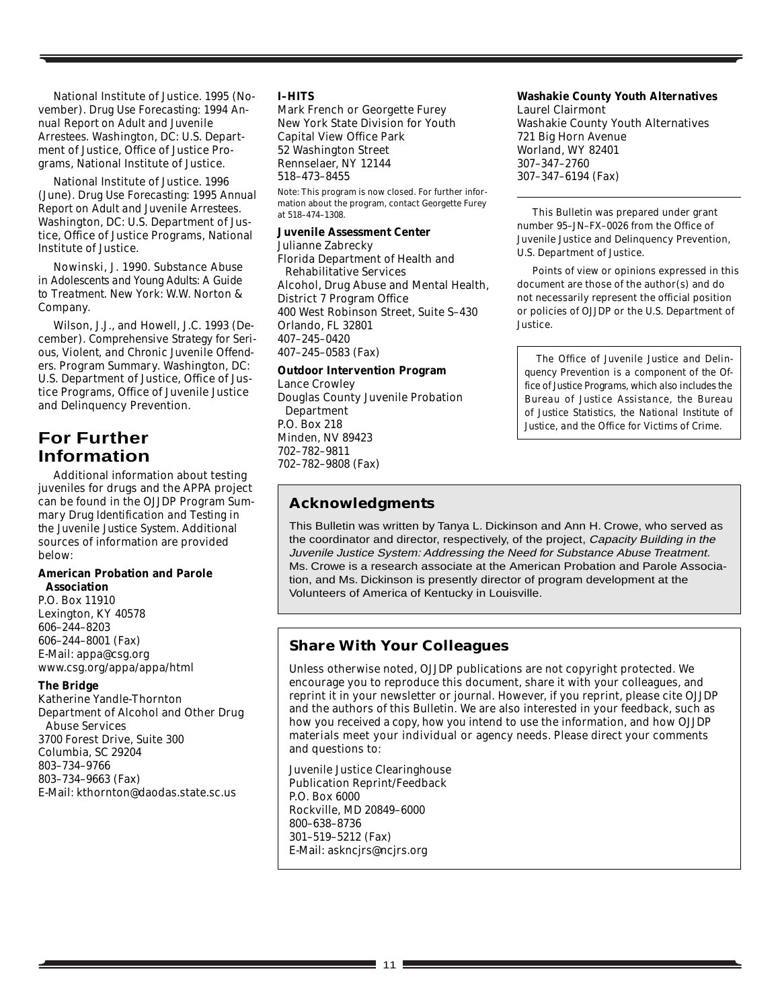National Institute of Justice. 1995 (November). *Drug Use Forecasting: 1994 Annual Report on Adult and Juvenile Arrestees*. Washington, DC: U.S. Department of Justice, Office of Justice Programs, National Institute of Justice.

National Institute of Justice. 1996 (June). *Drug Use Forecasting: 1995 Annual Report on Adult and Juvenile Arrestees*. Washington, DC: U.S. Department of Justice, Office of Justice Programs, National Institute of Justice.

Nowinski, J. 1990. *Substance Abuse in Adolescents and Young Adults: A Guide to Treatment*. New York: W.W. Norton & Company.

Wilson, J.J., and Howell, J.C. 1993 (December). *Comprehensive Strategy for Serious, Violent, and Chronic Juvenile Offenders.* Program Summary. Washington, DC: U.S. Department of Justice, Office of Justice Programs, Office of Juvenile Justice and Delinquency Prevention.

# **For Further Information**

Additional information about testing juveniles for drugs and the APPA project can be found in the OJJDP Program Summary *Drug Identification and Testing in the Juvenile Justice System*. Additional sources of information are provided below:

#### **American Probation and Parole Association**

P.O. Box 11910 Lexington, KY 40578 606–244–8203 606–244–8001 (Fax) E-Mail: appa@csg.org www.csg.org/appa/appa/html

#### **The Bridge**

Katherine Yandle-Thornton Department of Alcohol and Other Drug Abuse Services 3700 Forest Drive, Suite 300 Columbia, SC 29204 803–734–9766 803–734–9663 (Fax) E-Mail: kthornton@daodas.state.sc.us

#### **I–HITS**

Mark French or Georgette Furey New York State Division for Youth Capital View Office Park 52 Washington Street Rennselaer, NY 12144 518–473–8455

Note: This program is now closed. For further information about the program, contact Georgette Furey at 518–474–1308.

#### **Juvenile Assessment Center**

Julianne Zabrecky

Florida Department of Health and Rehabilitative Services Alcohol, Drug Abuse and Mental Health, District 7 Program Office 400 West Robinson Street, Suite S–430 Orlando, FL 32801 407–245–0420 407–245–0583 (Fax)

#### **Outdoor Intervention Program**

Lance Crowley Douglas County Juvenile Probation Department P.O. Box 218 Minden, NV 89423 702–782–9811 702–782–9808 (Fax)

## **Acknowledgments**

This Bulletin was written by Tanya L. Dickinson and Ann H. Crowe, who served as the coordinator and director, respectively, of the project, Capacity Building in the Juvenile Justice System: Addressing the Need for Substance Abuse Treatment. Ms. Crowe is a research associate at the American Probation and Parole Association, and Ms. Dickinson is presently director of program development at the Volunteers of America of Kentucky in Louisville.

## **Share With Your Colleagues**

Unless otherwise noted, OJJDP publications are not copyright protected. We encourage you to reproduce this document, share it with your colleagues, and reprint it in your newsletter or journal. However, if you reprint, please cite OJJDP and the authors of this Bulletin. We are also interested in your feedback, such as how you received a copy, how you intend to use the information, and how OJJDP materials meet your individual or agency needs. Please direct your comments and questions to:

Juvenile Justice Clearinghouse Publication Reprint/Feedback P.O. Box 6000 Rockville, MD 20849–6000 800–638–8736 301–519–5212 (Fax) E-Mail: askncjrs@ncjrs.org

#### **Washakie County Youth Alternatives**

Laurel Clairmont Washakie County Youth Alternatives 721 Big Horn Avenue Worland, WY 82401 307–347–2760 307–347–6194 (Fax)

This Bulletin was prepared under grant number 95–JN–FX–0026 from the Office of Juvenile Justice and Delinquency Prevention, U.S. Department of Justice.

Points of view or opinions expressed in this document are those of the author(s) and do not necessarily represent the official position or policies of OJJDP or the U.S. Department of Justice.

*The Office of Juvenile Justice and Delinquency Prevention is a component of the Office of Justice Programs, which also includes the Bureau of Justice Assistance, the Bureau of Justice Statistics, the National Institute of Justice, and the Office for Victims of Crime.*